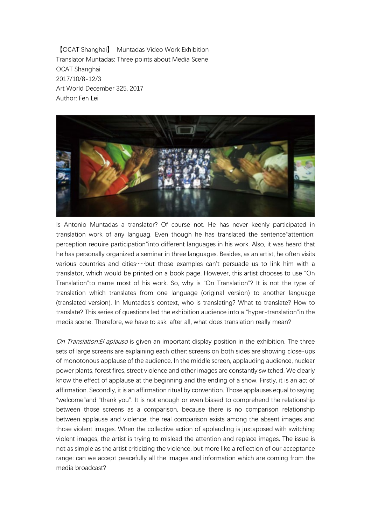【OCAT Shanghai】 Muntadas Video Work Exhibition Translator Muntadas: Three points about Media Scene OCAT Shanghai 2017/10/8-12/3 Art World December 325, 2017 Author: Fen Lei



Is Antonio Muntadas a translator? Of course not. He has never keenly participated in translation work of any languag. Even though he has translated the sentence"attention: perception require participation"into different languages in his work. Also, it was heard that he has personally organized a seminar in three languages. Besides, as an artist, he often visits various countries and cities……but those examples can't persuade us to link him with a translator, which would be printed on a book page. However, this artist chooses to use "On Translation"to name most of his work. So, why is "On Translation"? It is not the type of translation which translates from one language (original version) to another language (translated version). In Muntadas's context, who is translating? What to translate? How to translate? This series of questions led the exhibition audience into a "hyper-translation"in the media scene. Therefore, we have to ask: after all, what does translation really mean?

On Translation: El aplauso is given an important display position in the exhibition. The three sets of large screens are explaining each other: screens on both sides are showing close-ups of monotonous applause of the audience. In the middle screen, applauding audience, nuclear power plants, forest fires, street violence and other images are constantly switched. We clearly know the effect of applause at the beginning and the ending of a show. Firstly, it is an act of affirmation. Secondly, it is an affirmation ritual by convention. Those applauses equal to saying "welcome"and "thank you". It is not enough or even biased to comprehend the relationship between those screens as a comparison, because there is no comparison relationship between applause and violence, the real comparison exists among the absent images and those violent images. When the collective action of applauding is juxtaposed with switching violent images, the artist is trying to mislead the attention and replace images. The issue is not as simple as the artist criticizing the violence, but more like a reflection of our acceptance range: can we accept peacefully all the images and information which are coming from the media broadcast?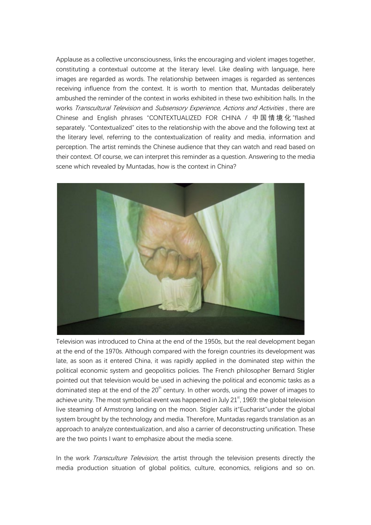Applause as a collective unconsciousness, links the encouraging and violent images together, constituting a contextual outcome at the literary level. Like dealing with language, here images are regarded as words. The relationship between images is regarded as sentences receiving influence from the context. It is worth to mention that, Muntadas deliberately ambushed the reminder of the context in works exhibited in these two exhibition halls. In the works Transcultural Television and Subsensory Experience, Actions and Activities, there are Chinese and English phrases "CONTEXTUALIZED FOR CHINA / 中国情境化 "flashed separately. "Contextualized" cites to the relationship with the above and the following text at the literary level, referring to the contextualization of reality and media, information and perception. The artist reminds the Chinese audience that they can watch and read based on their context. Of course, we can interpret this reminder as a question. Answering to the media scene which revealed by Muntadas, how is the context in China?



Television was introduced to China at the end of the 1950s, but the real development began at the end of the 1970s. Although compared with the foreign countries its development was late, as soon as it entered China, it was rapidly applied in the dominated step within the political economic system and geopolitics policies. The French philosopher Bernard Stigler pointed out that television would be used in achieving the political and economic tasks as a dominated step at the end of the 20<sup>th</sup> century. In other words, using the power of images to achieve unity. The most symbolical event was happened in July  $21<sup>st</sup>$ , 1969: the global television live steaming of Armstrong landing on the moon. Stigler calls it"Eucharist"under the global system brought by the technology and media. Therefore, Muntadas regards translation as an approach to analyze contextualization, and also a carrier of deconstructing unification. These are the two points I want to emphasize about the media scene.

In the work *Transculture Television*, the artist through the television presents directly the media production situation of global politics, culture, economics, religions and so on.